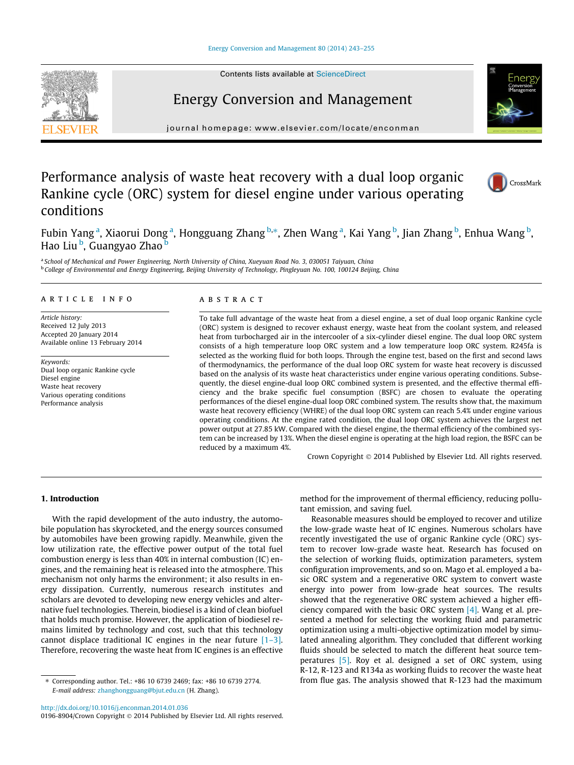Contents lists available at [ScienceDirect](http://www.sciencedirect.com/science/journal/01968904)

# Energy Conversion and Management

journal homepage: [www.elsevier.com/locate/enconman](http://www.elsevier.com/locate/enconman)

### Performance analysis of waste heat recovery with a dual loop organic Rankine cycle (ORC) system for diesel engine under various operating conditions

CrossMark

Fubin Yang<sup>a</sup>, Xiaorui Dong<sup>a</sup>, Hongguang Zhang <sup>b,\*</sup>, Zhen Wang<sup>a</sup>, Kai Yang <sup>b</sup>, Jian Zhang <sup>b</sup>, Enhua Wang <sup>b</sup>, Hao Liu <sup>b</sup>, Guangyao Zhao <sup>b</sup>

a School of Mechanical and Power Engineering, North University of China, Xueyuan Road No. 3, 030051 Taiyuan, China <sup>b</sup> College of Environmental and Energy Engineering, Beijing University of Technology, Pingleyuan No. 100, 100124 Beijing, China

#### article info

Article history: Received 12 July 2013 Accepted 20 January 2014 Available online 13 February 2014

Keywords: Dual loop organic Rankine cycle Diesel engine Waste heat recovery Various operating conditions Performance analysis

#### **ABSTRACT**

To take full advantage of the waste heat from a diesel engine, a set of dual loop organic Rankine cycle (ORC) system is designed to recover exhaust energy, waste heat from the coolant system, and released heat from turbocharged air in the intercooler of a six-cylinder diesel engine. The dual loop ORC system consists of a high temperature loop ORC system and a low temperature loop ORC system. R245fa is selected as the working fluid for both loops. Through the engine test, based on the first and second laws of thermodynamics, the performance of the dual loop ORC system for waste heat recovery is discussed based on the analysis of its waste heat characteristics under engine various operating conditions. Subsequently, the diesel engine-dual loop ORC combined system is presented, and the effective thermal efficiency and the brake specific fuel consumption (BSFC) are chosen to evaluate the operating performances of the diesel engine-dual loop ORC combined system. The results show that, the maximum waste heat recovery efficiency (WHRE) of the dual loop ORC system can reach 5.4% under engine various operating conditions. At the engine rated condition, the dual loop ORC system achieves the largest net power output at 27.85 kW. Compared with the diesel engine, the thermal efficiency of the combined system can be increased by 13%. When the diesel engine is operating at the high load region, the BSFC can be reduced by a maximum 4%.

Crown Copyright © 2014 Published by Elsevier Ltd. All rights reserved.

#### 1. Introduction

With the rapid development of the auto industry, the automobile population has skyrocketed, and the energy sources consumed by automobiles have been growing rapidly. Meanwhile, given the low utilization rate, the effective power output of the total fuel combustion energy is less than 40% in internal combustion (IC) engines, and the remaining heat is released into the atmosphere. This mechanism not only harms the environment; it also results in energy dissipation. Currently, numerous research institutes and scholars are devoted to developing new energy vehicles and alternative fuel technologies. Therein, biodiesel is a kind of clean biofuel that holds much promise. However, the application of biodiesel remains limited by technology and cost, such that this technology cannot displace traditional IC engines in the near future [\[1–3\].](#page--1-0) Therefore, recovering the waste heat from IC engines is an effective

<http://dx.doi.org/10.1016/j.enconman.2014.01.036>

0196-8904/Crown Copyright © 2014 Published by Elsevier Ltd. All rights reserved.

method for the improvement of thermal efficiency, reducing pollutant emission, and saving fuel.

Reasonable measures should be employed to recover and utilize the low-grade waste heat of IC engines. Numerous scholars have recently investigated the use of organic Rankine cycle (ORC) system to recover low-grade waste heat. Research has focused on the selection of working fluids, optimization parameters, system configuration improvements, and so on. Mago et al. employed a basic ORC system and a regenerative ORC system to convert waste energy into power from low-grade heat sources. The results showed that the regenerative ORC system achieved a higher efficiency compared with the basic ORC system  $[4]$ . Wang et al. presented a method for selecting the working fluid and parametric optimization using a multi-objective optimization model by simulated annealing algorithm. They concluded that different working fluids should be selected to match the different heat source temperatures [\[5\].](#page--1-0) Roy et al. designed a set of ORC system, using R-12, R-123 and R134a as working fluids to recover the waste heat from flue gas. The analysis showed that R-123 had the maximum





<sup>⇑</sup> Corresponding author. Tel.: +86 10 6739 2469; fax: +86 10 6739 2774. E-mail address: [zhanghongguang@bjut.edu.cn](mailto:zhanghongguang@bjut.edu.cn) (H. Zhang).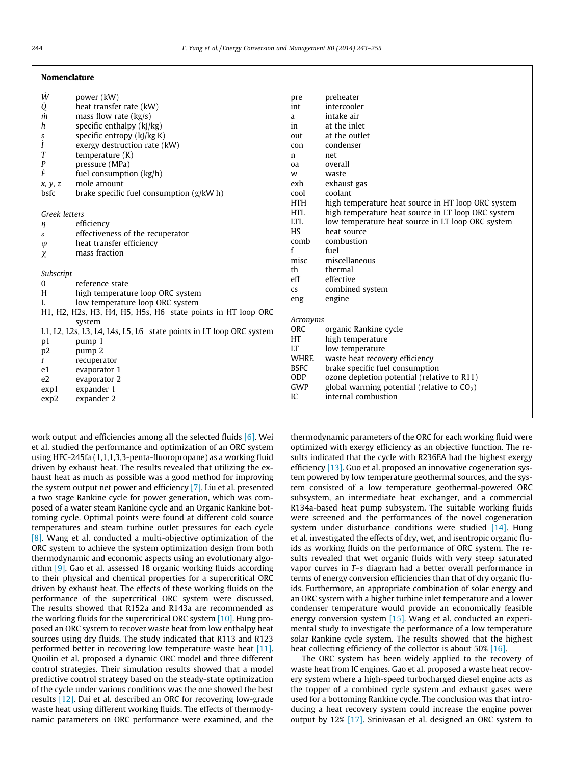#### Nomenclature

| W                                                            | power (kW)                                                          | pre                    | preheater                                          |
|--------------------------------------------------------------|---------------------------------------------------------------------|------------------------|----------------------------------------------------|
| Q                                                            | heat transfer rate (kW)                                             | int                    | intercooler                                        |
| m                                                            | mass flow rate $(kg/s)$                                             | a                      | intake air                                         |
| h                                                            | specific enthalpy $(k)/kg$ )                                        | in                     | at the inlet                                       |
| ș                                                            | specific entropy $(k)/kg K$ )                                       | out                    | at the outlet                                      |
| Ι                                                            | exergy destruction rate (kW)                                        | con                    | condenser                                          |
| T                                                            | temperature $(K)$                                                   | $\mathbf n$            | net                                                |
| P                                                            | pressure (MPa)                                                      | oa                     | overall                                            |
| Ė                                                            | fuel consumption (kg/h)                                             | W                      | waste                                              |
| x, y, z                                                      | mole amount                                                         | exh                    | exhaust gas                                        |
| bsfc                                                         | brake specific fuel consumption $(g/kW h)$                          | cool                   | coolant                                            |
|                                                              |                                                                     | <b>HTH</b>             | high temperature heat source in HT loop ORC system |
| Greek letters                                                |                                                                     | <b>HTL</b>             | high temperature heat source in LT loop ORC system |
| η                                                            | efficiency                                                          | <b>LTL</b>             | low temperature heat source in LT loop ORC system  |
| $\epsilon$                                                   | effectiveness of the recuperator                                    | <b>HS</b>              | heat source                                        |
| φ                                                            | heat transfer efficiency                                            | comb                   | combustion                                         |
| χ                                                            | mass fraction                                                       | f                      | fuel                                               |
|                                                              |                                                                     | misc                   | miscellaneous                                      |
| Subscript                                                    |                                                                     | th                     | thermal                                            |
| 0                                                            | reference state                                                     | eff                    | effective                                          |
| H                                                            | high temperature loop ORC system                                    | $\mathsf{c}\mathsf{s}$ | combined system                                    |
|                                                              | low temperature loop ORC system                                     | eng                    | engine                                             |
| H1, H2, H2s, H3, H4, H5, H5s, H6 state points in HT loop ORC |                                                                     |                        |                                                    |
| system                                                       |                                                                     | Acronyms               |                                                    |
|                                                              | L1, L2, L2s, L3, L4, L4s, L5, L6 state points in LT loop ORC system | ORC                    | organic Rankine cycle                              |
| p1                                                           | pump 1                                                              | <b>HT</b>              | high temperature                                   |
|                                                              | pump <sub>2</sub>                                                   | <b>LT</b>              | low temperature                                    |
| p <sub>2</sub><br>r                                          | recuperator                                                         | <b>WHRE</b>            | waste heat recovery efficiency                     |
| e1                                                           | evaporator 1                                                        | <b>BSFC</b>            | brake specific fuel consumption                    |
| e <sub>2</sub>                                               | evaporator 2                                                        | <b>ODP</b>             | ozone depletion potential (relative to R11)        |
|                                                              | expander 1                                                          | GWP                    | global warming potential (relative to $CO2$ )      |
| exp1<br>exp2                                                 | expander 2                                                          | IC                     | internal combustion                                |
|                                                              |                                                                     |                        |                                                    |

work output and efficiencies among all the selected fluids [\[6\]](#page--1-0). Wei et al. studied the performance and optimization of an ORC system using HFC-245fa (1,1,1,3,3-penta-fluoropropane) as a working fluid driven by exhaust heat. The results revealed that utilizing the exhaust heat as much as possible was a good method for improving the system output net power and efficiency [\[7\].](#page--1-0) Liu et al. presented a two stage Rankine cycle for power generation, which was composed of a water steam Rankine cycle and an Organic Rankine bottoming cycle. Optimal points were found at different cold source temperatures and steam turbine outlet pressures for each cycle [\[8\]](#page--1-0). Wang et al. conducted a multi-objective optimization of the ORC system to achieve the system optimization design from both thermodynamic and economic aspects using an evolutionary algorithm [\[9\].](#page--1-0) Gao et al. assessed 18 organic working fluids according to their physical and chemical properties for a supercritical ORC driven by exhaust heat. The effects of these working fluids on the performance of the supercritical ORC system were discussed. The results showed that R152a and R143a are recommended as the working fluids for the supercritical ORC system [\[10\]](#page--1-0). Hung proposed an ORC system to recover waste heat from low enthalpy heat sources using dry fluids. The study indicated that R113 and R123 performed better in recovering low temperature waste heat [\[11\].](#page--1-0) Quoilin et al. proposed a dynamic ORC model and three different control strategies. Their simulation results showed that a model predictive control strategy based on the steady-state optimization of the cycle under various conditions was the one showed the best results [\[12\]](#page--1-0). Dai et al. described an ORC for recovering low-grade waste heat using different working fluids. The effects of thermodynamic parameters on ORC performance were examined, and the thermodynamic parameters of the ORC for each working fluid were optimized with exergy efficiency as an objective function. The results indicated that the cycle with R236EA had the highest exergy efficiency [\[13\]](#page--1-0). Guo et al. proposed an innovative cogeneration system powered by low temperature geothermal sources, and the system consisted of a low temperature geothermal-powered ORC subsystem, an intermediate heat exchanger, and a commercial R134a-based heat pump subsystem. The suitable working fluids were screened and the performances of the novel cogeneration system under disturbance conditions were studied  $[14]$ . Hung et al. investigated the effects of dry, wet, and isentropic organic fluids as working fluids on the performance of ORC system. The results revealed that wet organic fluids with very steep saturated vapor curves in T-s diagram had a better overall performance in terms of energy conversion efficiencies than that of dry organic fluids. Furthermore, an appropriate combination of solar energy and an ORC system with a higher turbine inlet temperature and a lower condenser temperature would provide an economically feasible energy conversion system [\[15\].](#page--1-0) Wang et al. conducted an experimental study to investigate the performance of a low temperature solar Rankine cycle system. The results showed that the highest heat collecting efficiency of the collector is about 50% [\[16\].](#page--1-0)

The ORC system has been widely applied to the recovery of waste heat from IC engines. Gao et al. proposed a waste heat recovery system where a high-speed turbocharged diesel engine acts as the topper of a combined cycle system and exhaust gases were used for a bottoming Rankine cycle. The conclusion was that introducing a heat recovery system could increase the engine power output by 12% [\[17\]](#page--1-0). Srinivasan et al. designed an ORC system to